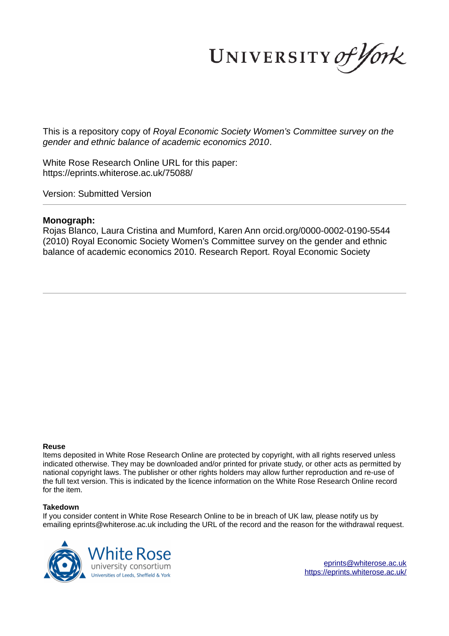UNIVERSITY of York

This is a repository copy of *Royal Economic Society Women's Committee survey on the gender and ethnic balance of academic economics 2010*.

White Rose Research Online URL for this paper: https://eprints.whiterose.ac.uk/75088/

Version: Submitted Version

#### **Monograph:**

Rojas Blanco, Laura Cristina and Mumford, Karen Ann orcid.org/0000-0002-0190-5544 (2010) Royal Economic Society Women's Committee survey on the gender and ethnic balance of academic economics 2010. Research Report. Royal Economic Society

#### **Reuse**

Items deposited in White Rose Research Online are protected by copyright, with all rights reserved unless indicated otherwise. They may be downloaded and/or printed for private study, or other acts as permitted by national copyright laws. The publisher or other rights holders may allow further reproduction and re-use of the full text version. This is indicated by the licence information on the White Rose Research Online record for the item.

#### **Takedown**

If you consider content in White Rose Research Online to be in breach of UK law, please notify us by emailing eprints@whiterose.ac.uk including the URL of the record and the reason for the withdrawal request.



eprints@whiterose.ac.uk https://eprints.whiterose.ac.uk/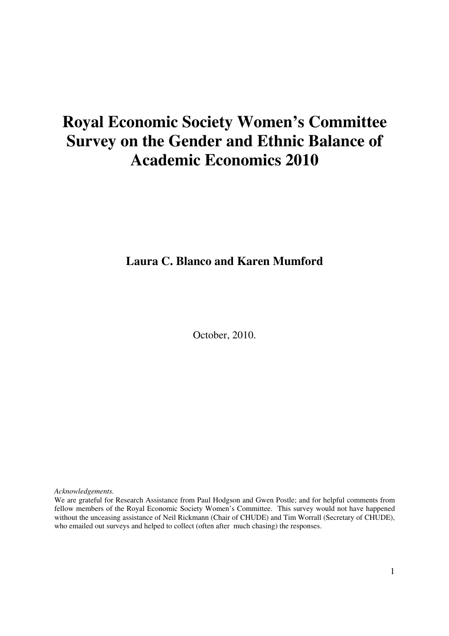# **Royal Economic Society Women's Committee Survey on the Gender and Ethnic Balance of Academic Economics 2010**

# **Laura C. Blanco and Karen Mumford**

October, 2010.

*Acknowledgements.* 

We are grateful for Research Assistance from Paul Hodgson and Gwen Postle; and for helpful comments from fellow members of the Royal Economic Society Women's Committee. This survey would not have happened without the unceasing assistance of Neil Rickmann (Chair of CHUDE) and Tim Worrall (Secretary of CHUDE), who emailed out surveys and helped to collect (often after much chasing) the responses.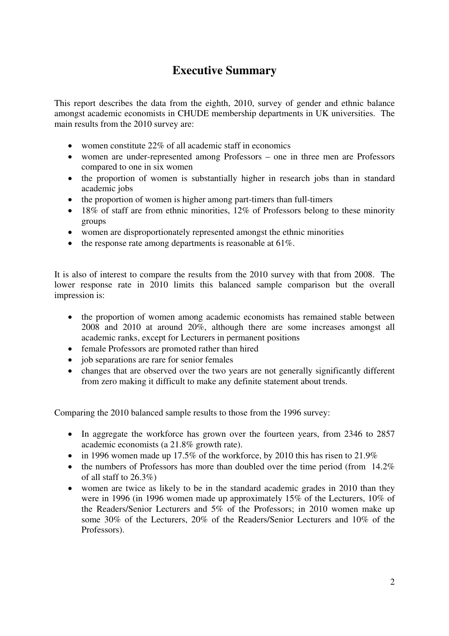# **Executive Summary**

This report describes the data from the eighth, 2010, survey of gender and ethnic balance amongst academic economists in CHUDE membership departments in UK universities. The main results from the 2010 survey are:

- women constitute 22% of all academic staff in economics
- women are under-represented among Professors one in three men are Professors compared to one in six women
- the proportion of women is substantially higher in research jobs than in standard academic jobs
- the proportion of women is higher among part-timers than full-timers
- 18% of staff are from ethnic minorities, 12% of Professors belong to these minority groups
- women are disproportionately represented amongst the ethnic minorities
- the response rate among departments is reasonable at  $61\%$ .

It is also of interest to compare the results from the 2010 survey with that from 2008. The lower response rate in 2010 limits this balanced sample comparison but the overall impression is:

- the proportion of women among academic economists has remained stable between 2008 and 2010 at around 20%, although there are some increases amongst all academic ranks, except for Lecturers in permanent positions
- female Professors are promoted rather than hired
- job separations are rare for senior females
- changes that are observed over the two years are not generally significantly different from zero making it difficult to make any definite statement about trends.

Comparing the 2010 balanced sample results to those from the 1996 survey:

- In aggregate the workforce has grown over the fourteen years, from 2346 to 2857 academic economists (a 21.8% growth rate).
- in 1996 women made up 17.5% of the workforce, by 2010 this has risen to  $21.9\%$
- the numbers of Professors has more than doubled over the time period (from  $14.2\%$ ) of all staff to  $26.3\%$ )
- women are twice as likely to be in the standard academic grades in 2010 than they were in 1996 (in 1996 women made up approximately 15% of the Lecturers, 10% of the Readers/Senior Lecturers and 5% of the Professors; in 2010 women make up some 30% of the Lecturers, 20% of the Readers/Senior Lecturers and 10% of the Professors).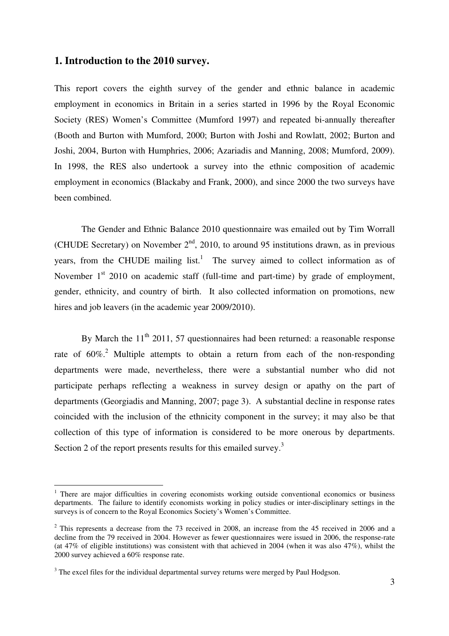#### **1. Introduction to the 2010 survey.**

This report covers the eighth survey of the gender and ethnic balance in academic employment in economics in Britain in a series started in 1996 by the Royal Economic Society (RES) Women's Committee (Mumford 1997) and repeated bi-annually thereafter (Booth and Burton with Mumford, 2000; Burton with Joshi and Rowlatt, 2002; Burton and Joshi, 2004, Burton with Humphries, 2006; Azariadis and Manning, 2008; Mumford, 2009). In 1998, the RES also undertook a survey into the ethnic composition of academic employment in economics (Blackaby and Frank, 2000), and since 2000 the two surveys have been combined.

The Gender and Ethnic Balance 2010 questionnaire was emailed out by Tim Worrall (CHUDE Secretary) on November  $2<sup>nd</sup>$ , 2010, to around 95 institutions drawn, as in previous years, from the CHUDE mailing  $list.$ <sup>1</sup> The survey aimed to collect information as of November 1<sup>st</sup> 2010 on academic staff (full-time and part-time) by grade of employment, gender, ethnicity, and country of birth. It also collected information on promotions, new hires and job leavers (in the academic year 2009/2010).

By March the  $11<sup>th</sup> 2011$ , 57 questionnaires had been returned: a reasonable response rate of  $60\%$ <sup>2</sup>. Multiple attempts to obtain a return from each of the non-responding departments were made, nevertheless, there were a substantial number who did not participate perhaps reflecting a weakness in survey design or apathy on the part of departments (Georgiadis and Manning, 2007; page 3). A substantial decline in response rates coincided with the inclusion of the ethnicity component in the survey; it may also be that collection of this type of information is considered to be more onerous by departments. Section 2 of the report presents results for this emailed survey.<sup>3</sup>

 $\overline{a}$ 

<sup>&</sup>lt;sup>1</sup> There are major difficulties in covering economists working outside conventional economics or business departments. The failure to identify economists working in policy studies or inter-disciplinary settings in the surveys is of concern to the Royal Economics Society's Women's Committee.

 $2$  This represents a decrease from the 73 received in 2008, an increase from the 45 received in 2006 and a decline from the 79 received in 2004. However as fewer questionnaires were issued in 2006, the response-rate (at 47% of eligible institutions) was consistent with that achieved in 2004 (when it was also 47%), whilst the 2000 survey achieved a 60% response rate.

 $3$  The excel files for the individual departmental survey returns were merged by Paul Hodgson.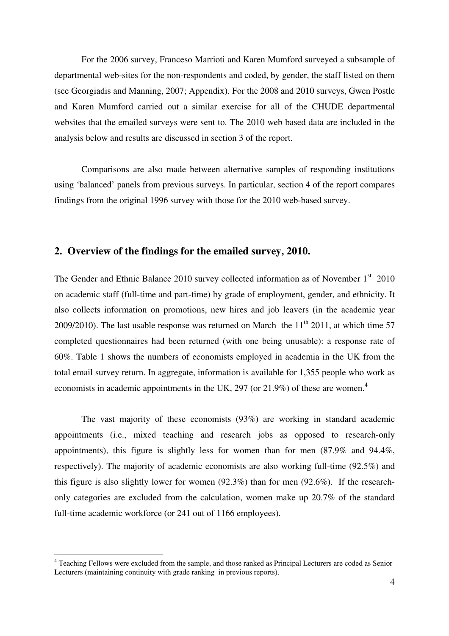For the 2006 survey, Franceso Marrioti and Karen Mumford surveyed a subsample of departmental web-sites for the non-respondents and coded, by gender, the staff listed on them (see Georgiadis and Manning, 2007; Appendix). For the 2008 and 2010 surveys, Gwen Postle and Karen Mumford carried out a similar exercise for all of the CHUDE departmental websites that the emailed surveys were sent to. The 2010 web based data are included in the analysis below and results are discussed in section 3 of the report.

Comparisons are also made between alternative samples of responding institutions using 'balanced' panels from previous surveys. In particular, section 4 of the report compares findings from the original 1996 survey with those for the 2010 web-based survey.

# **2. Overview of the findings for the emailed survey, 2010.**

The Gender and Ethnic Balance 2010 survey collected information as of November  $1<sup>st</sup>$  2010 on academic staff (full-time and part-time) by grade of employment, gender, and ethnicity. It also collects information on promotions, new hires and job leavers (in the academic year 2009/2010). The last usable response was returned on March the  $11<sup>th</sup>$  2011, at which time 57 completed questionnaires had been returned (with one being unusable): a response rate of 60%. Table 1 shows the numbers of economists employed in academia in the UK from the total email survey return. In aggregate, information is available for 1,355 people who work as economists in academic appointments in the UK, 297 (or 21.9%) of these are women.<sup>4</sup>

The vast majority of these economists (93%) are working in standard academic appointments (i.e., mixed teaching and research jobs as opposed to research-only appointments), this figure is slightly less for women than for men (87.9% and 94.4%, respectively). The majority of academic economists are also working full-time (92.5%) and this figure is also slightly lower for women (92.3%) than for men (92.6%). If the researchonly categories are excluded from the calculation, women make up 20.7% of the standard full-time academic workforce (or 241 out of 1166 employees).

 4 Teaching Fellows were excluded from the sample, and those ranked as Principal Lecturers are coded as Senior Lecturers (maintaining continuity with grade ranking in previous reports).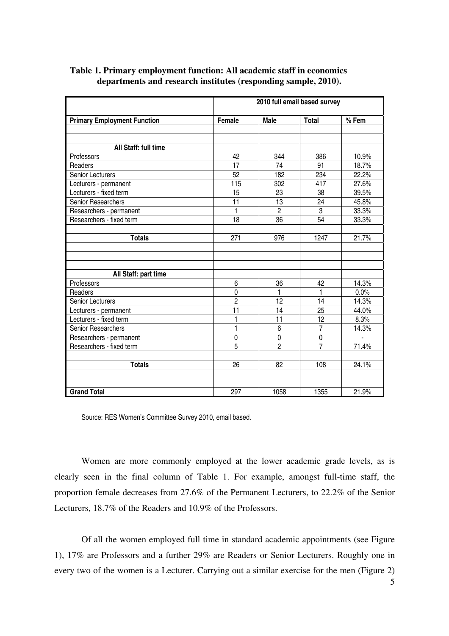|                                    | 2010 full email based survey |                |                |         |  |  |  |  |  |
|------------------------------------|------------------------------|----------------|----------------|---------|--|--|--|--|--|
| <b>Primary Employment Function</b> | Female                       | <b>Male</b>    | <b>Total</b>   | $%$ Fem |  |  |  |  |  |
|                                    |                              |                |                |         |  |  |  |  |  |
|                                    |                              |                |                |         |  |  |  |  |  |
| All Staff: full time               |                              |                |                |         |  |  |  |  |  |
| Professors                         | 42                           | 344            | 386            | 10.9%   |  |  |  |  |  |
| Readers                            | 17                           | 74             | 91             | 18.7%   |  |  |  |  |  |
| Senior Lecturers                   | 52                           | 182            | 234            | 22.2%   |  |  |  |  |  |
| Lecturers - permanent              | 115                          | 302            | 417            | 27.6%   |  |  |  |  |  |
| Lecturers - fixed term             | 15                           | 23             | 38             | 39.5%   |  |  |  |  |  |
| Senior Researchers                 | 11                           | 13             | 24             | 45.8%   |  |  |  |  |  |
| Researchers - permanent            | $\mathbf{1}$                 | $\overline{2}$ | 3              | 33.3%   |  |  |  |  |  |
| Researchers - fixed term           | 18                           | 36             | 54             | 33.3%   |  |  |  |  |  |
|                                    |                              |                |                |         |  |  |  |  |  |
| <b>Totals</b>                      | 271                          | 976            | 1247           | 21.7%   |  |  |  |  |  |
|                                    |                              |                |                |         |  |  |  |  |  |
|                                    |                              |                |                |         |  |  |  |  |  |
|                                    |                              |                |                |         |  |  |  |  |  |
| All Staff: part time               |                              |                |                |         |  |  |  |  |  |
| Professors                         | 6                            | 36             | 42             | 14.3%   |  |  |  |  |  |
| Readers                            | $\mathbf 0$                  | 1              | 1              | 0.0%    |  |  |  |  |  |
| <b>Senior Lecturers</b>            | $\overline{2}$               | 12             | 14             | 14.3%   |  |  |  |  |  |
| Lecturers - permanent              | $\overline{11}$              | 14             | 25             | 44.0%   |  |  |  |  |  |
| Lecturers - fixed term             | 1                            | 11             | 12             | 8.3%    |  |  |  |  |  |
| Senior Researchers                 | $\mathbf{1}$                 | 6              | $\overline{7}$ | 14.3%   |  |  |  |  |  |
| Researchers - permanent            | 0                            | $\pmb{0}$      | 0              |         |  |  |  |  |  |
| Researchers - fixed term           | $\overline{5}$               | $\overline{2}$ | $\overline{7}$ | 71.4%   |  |  |  |  |  |
|                                    |                              |                |                |         |  |  |  |  |  |
| <b>Totals</b>                      | 26                           | 82             | 108            | 24.1%   |  |  |  |  |  |
|                                    |                              |                |                |         |  |  |  |  |  |
|                                    |                              |                |                |         |  |  |  |  |  |
| <b>Grand Total</b>                 | 297                          | 1058           | 1355           | 21.9%   |  |  |  |  |  |

### **Table 1. Primary employment function: All academic staff in economics departments and research institutes (responding sample, 2010).**

Source: RES Women's Committee Survey 2010, email based.

Women are more commonly employed at the lower academic grade levels, as is clearly seen in the final column of Table 1. For example, amongst full-time staff, the proportion female decreases from 27.6% of the Permanent Lecturers, to 22.2% of the Senior Lecturers, 18.7% of the Readers and 10.9% of the Professors.

Of all the women employed full time in standard academic appointments (see Figure 1), 17% are Professors and a further 29% are Readers or Senior Lecturers. Roughly one in every two of the women is a Lecturer. Carrying out a similar exercise for the men (Figure 2)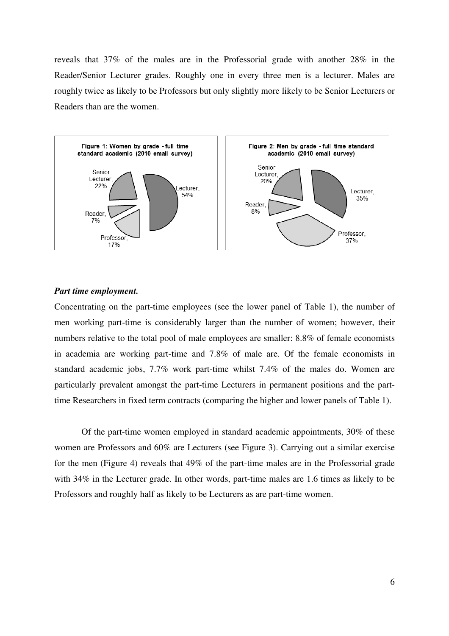reveals that 37% of the males are in the Professorial grade with another 28% in the Reader/Senior Lecturer grades. Roughly one in every three men is a lecturer. Males are roughly twice as likely to be Professors but only slightly more likely to be Senior Lecturers or Readers than are the women.



#### *Part time employment.*

Concentrating on the part-time employees (see the lower panel of Table 1), the number of men working part-time is considerably larger than the number of women; however, their numbers relative to the total pool of male employees are smaller: 8.8% of female economists in academia are working part-time and 7.8% of male are. Of the female economists in standard academic jobs, 7.7% work part-time whilst 7.4% of the males do. Women are particularly prevalent amongst the part-time Lecturers in permanent positions and the parttime Researchers in fixed term contracts (comparing the higher and lower panels of Table 1).

Of the part-time women employed in standard academic appointments, 30% of these women are Professors and 60% are Lecturers (see Figure 3). Carrying out a similar exercise for the men (Figure 4) reveals that 49% of the part-time males are in the Professorial grade with 34% in the Lecturer grade. In other words, part-time males are 1.6 times as likely to be Professors and roughly half as likely to be Lecturers as are part-time women.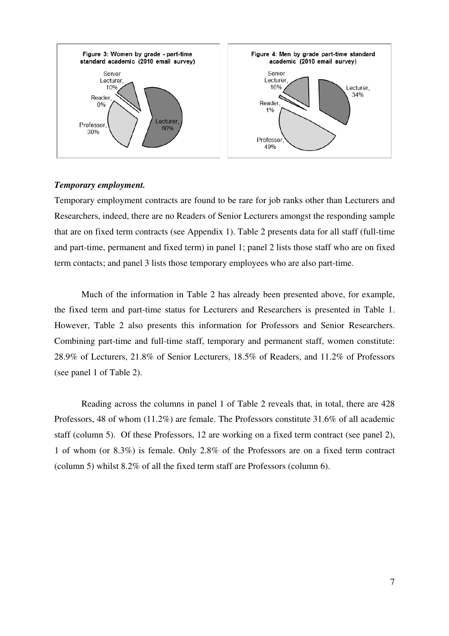

#### *Temporary employment.*

Temporary employment contracts are found to be rare for job ranks other than Lecturers and Researchers, indeed, there are no Readers of Senior Lecturers amongst the responding sample that are on fixed term contracts (see Appendix 1). Table 2 presents data for all staff (full-time and part-time, permanent and fixed term) in panel 1; panel 2 lists those staff who are on fixed term contacts; and panel 3 lists those temporary employees who are also part-time.

Much of the information in Table 2 has already been presented above, for example, the fixed term and part-time status for Lecturers and Researchers is presented in Table 1. However, Table 2 also presents this information for Professors and Senior Researchers. Combining part-time and full-time staff, temporary and permanent staff, women constitute: 28.9% of Lecturers, 21.8% of Senior Lecturers, 18.5% of Readers, and 11.2% of Professors (see panel 1 of Table 2).

Reading across the columns in panel 1 of Table 2 reveals that, in total, there are 428 Professors, 48 of whom (11.2%) are female. The Professors constitute 31.6% of all academic staff (column 5). Of these Professors, 12 are working on a fixed term contract (see panel 2), 1 of whom (or 8.3%) is female. Only 2.8% of the Professors are on a fixed term contract (column 5) whilst 8.2% of all the fixed term staff are Professors (column 6).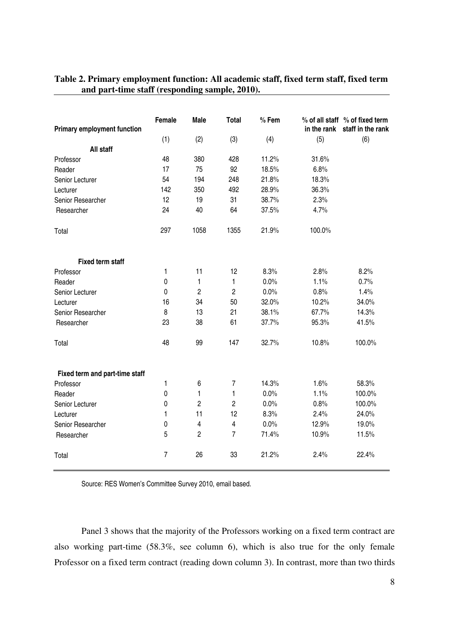| <b>Primary employment function</b> | Female         | <b>Male</b>             | <b>Total</b>            | $%$ Fem | in the rank | % of all staff % of fixed term<br>staff in the rank |  |
|------------------------------------|----------------|-------------------------|-------------------------|---------|-------------|-----------------------------------------------------|--|
|                                    | (1)            | (2)                     | (3)                     | (4)     | (5)         | (6)                                                 |  |
| All staff                          |                |                         |                         |         |             |                                                     |  |
| Professor                          | 48             | 380                     | 428                     | 11.2%   | 31.6%       |                                                     |  |
| Reader                             | 17             | 75                      | 92                      | 18.5%   | 6.8%        |                                                     |  |
| Senior Lecturer                    | 54             | 194                     | 248                     | 21.8%   | 18.3%       |                                                     |  |
| Lecturer                           | 142            | 350                     | 492                     | 28.9%   | 36.3%       |                                                     |  |
| Senior Researcher                  | 12             | 19                      | 31                      | 38.7%   | 2.3%        |                                                     |  |
| Researcher                         | 24             | 40                      | 64                      | 37.5%   | 4.7%        |                                                     |  |
| Total                              | 297            | 1058                    | 1355                    | 21.9%   | 100.0%      |                                                     |  |
| <b>Fixed term staff</b>            |                |                         |                         |         |             |                                                     |  |
| Professor                          | 1              | 11                      | 12                      | 8.3%    | 2.8%        | 8.2%                                                |  |
| Reader                             | $\mathbf 0$    | 1                       | 1                       | 0.0%    | 1.1%        | 0.7%                                                |  |
| Senior Lecturer                    | 0              | $\overline{c}$          | $\overline{c}$          | 0.0%    | 0.8%        | 1.4%                                                |  |
| Lecturer                           | 16             | 34                      | 50                      | 32.0%   | 10.2%       | 34.0%                                               |  |
| Senior Researcher                  | 8              | 13                      | 21                      | 38.1%   | 67.7%       | 14.3%                                               |  |
| Researcher                         | 23             | 38                      | 61                      | 37.7%   | 95.3%       | 41.5%                                               |  |
| Total                              | 48             | 99                      | 147                     | 32.7%   | 10.8%       | 100.0%                                              |  |
| Fixed term and part-time staff     |                |                         |                         |         |             |                                                     |  |
| Professor                          | 1              | 6                       | $\overline{7}$          | 14.3%   | 1.6%        | 58.3%                                               |  |
| Reader                             | $\mathbf 0$    | 1                       | 1                       | 0.0%    | 1.1%        | 100.0%                                              |  |
| Senior Lecturer                    | $\mathbf 0$    | $\overline{c}$          | $\overline{2}$          | 0.0%    | 0.8%        | 100.0%                                              |  |
| Lecturer                           | 1              | 11                      | 12                      | 8.3%    | 2.4%        | 24.0%                                               |  |
| Senior Researcher                  | 0              | $\overline{\mathbf{4}}$ | $\overline{\mathbf{4}}$ | 0.0%    | 12.9%       | 19.0%                                               |  |
| Researcher                         | 5              | $\overline{2}$          | $\overline{7}$          | 71.4%   | 10.9%       | 11.5%                                               |  |
| Total                              | $\overline{7}$ | 26                      | 33                      | 21.2%   | 2.4%        | 22.4%                                               |  |

# **Table 2. Primary employment function: All academic staff, fixed term staff, fixed term and part-time staff (responding sample, 2010).**

Source: RES Women's Committee Survey 2010, email based.

Panel 3 shows that the majority of the Professors working on a fixed term contract are also working part-time (58.3%, see column 6), which is also true for the only female Professor on a fixed term contract (reading down column 3). In contrast, more than two thirds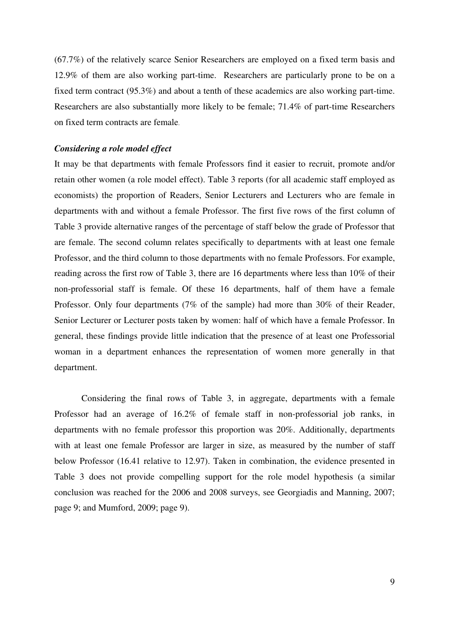(67.7%) of the relatively scarce Senior Researchers are employed on a fixed term basis and 12.9% of them are also working part-time. Researchers are particularly prone to be on a fixed term contract (95.3%) and about a tenth of these academics are also working part-time. Researchers are also substantially more likely to be female; 71.4% of part-time Researchers on fixed term contracts are female.

#### *Considering a role model effect*

It may be that departments with female Professors find it easier to recruit, promote and/or retain other women (a role model effect). Table 3 reports (for all academic staff employed as economists) the proportion of Readers, Senior Lecturers and Lecturers who are female in departments with and without a female Professor. The first five rows of the first column of Table 3 provide alternative ranges of the percentage of staff below the grade of Professor that are female. The second column relates specifically to departments with at least one female Professor, and the third column to those departments with no female Professors. For example, reading across the first row of Table 3, there are 16 departments where less than 10% of their non-professorial staff is female. Of these 16 departments, half of them have a female Professor. Only four departments (7% of the sample) had more than 30% of their Reader, Senior Lecturer or Lecturer posts taken by women: half of which have a female Professor. In general, these findings provide little indication that the presence of at least one Professorial woman in a department enhances the representation of women more generally in that department.

Considering the final rows of Table 3, in aggregate, departments with a female Professor had an average of 16.2% of female staff in non-professorial job ranks, in departments with no female professor this proportion was 20%. Additionally, departments with at least one female Professor are larger in size, as measured by the number of staff below Professor (16.41 relative to 12.97). Taken in combination, the evidence presented in Table 3 does not provide compelling support for the role model hypothesis (a similar conclusion was reached for the 2006 and 2008 surveys, see Georgiadis and Manning, 2007; page 9; and Mumford, 2009; page 9).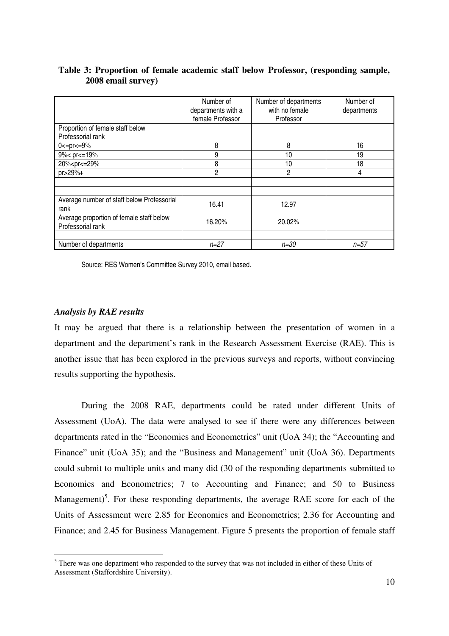|                                                                 | Number of          | Number of departments | Number of   |
|-----------------------------------------------------------------|--------------------|-----------------------|-------------|
|                                                                 | departments with a | with no female        | departments |
|                                                                 | female Professor   | Professor             |             |
| Proportion of female staff below                                |                    |                       |             |
| Professorial rank                                               |                    |                       |             |
| $0 < p < 9\%$                                                   | 8                  | 8                     | 16          |
| $9\%$ c pr $\leq$ = 19%                                         | 9                  | 10                    | 19          |
| 20% <pr<=29%< td=""><td>8</td><td>10</td><td>18</td></pr<=29%<> | 8                  | 10                    | 18          |
| $pr > 29% +$                                                    | $\overline{2}$     | 2                     | 4           |
|                                                                 |                    |                       |             |
|                                                                 |                    |                       |             |
| Average number of staff below Professorial                      | 16.41              | 12.97                 |             |
| rank                                                            |                    |                       |             |
| Average proportion of female staff below                        | 16.20%             | 20.02%                |             |
| Professorial rank                                               |                    |                       |             |
|                                                                 |                    |                       |             |
| Number of departments                                           | $n = 27$           | n=30                  | $n = 57$    |

# **Table 3: Proportion of female academic staff below Professor, (responding sample, 2008 email survey)**

Source: RES Women's Committee Survey 2010, email based.

### *Analysis by RAE results*

It may be argued that there is a relationship between the presentation of women in a department and the department's rank in the Research Assessment Exercise (RAE). This is another issue that has been explored in the previous surveys and reports, without convincing results supporting the hypothesis.

During the 2008 RAE, departments could be rated under different Units of Assessment (UoA). The data were analysed to see if there were any differences between departments rated in the "Economics and Econometrics" unit (UoA 34); the "Accounting and Finance" unit (UoA 35); and the "Business and Management" unit (UoA 36). Departments could submit to multiple units and many did (30 of the responding departments submitted to Economics and Econometrics; 7 to Accounting and Finance; and 50 to Business Management)<sup>5</sup>. For these responding departments, the average RAE score for each of the Units of Assessment were 2.85 for Economics and Econometrics; 2.36 for Accounting and Finance; and 2.45 for Business Management. Figure 5 presents the proportion of female staff

<sup>&</sup>lt;sup>5</sup> There was one department who responded to the survey that was not included in either of these Units of Assessment (Staffordshire University).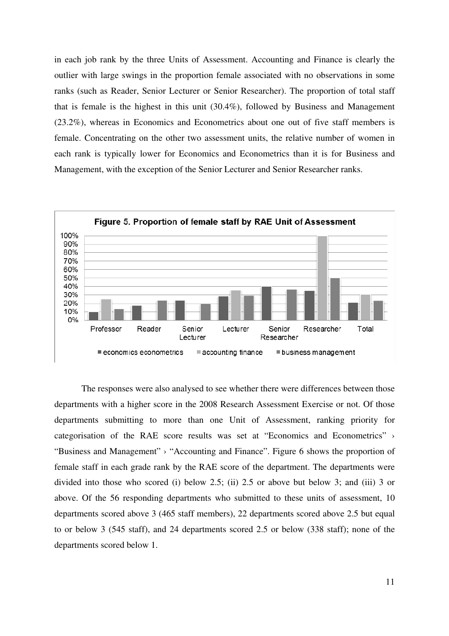in each job rank by the three Units of Assessment. Accounting and Finance is clearly the outlier with large swings in the proportion female associated with no observations in some ranks (such as Reader, Senior Lecturer or Senior Researcher). The proportion of total staff that is female is the highest in this unit (30.4%), followed by Business and Management (23.2%), whereas in Economics and Econometrics about one out of five staff members is female. Concentrating on the other two assessment units, the relative number of women in each rank is typically lower for Economics and Econometrics than it is for Business and Management, with the exception of the Senior Lecturer and Senior Researcher ranks.



The responses were also analysed to see whether there were differences between those departments with a higher score in the 2008 Research Assessment Exercise or not. Of those departments submitting to more than one Unit of Assessment, ranking priority for categorisation of the RAE score results was set at "Economics and Econometrics" › "Business and Management" › "Accounting and Finance". Figure 6 shows the proportion of female staff in each grade rank by the RAE score of the department. The departments were divided into those who scored (i) below 2.5; (ii) 2.5 or above but below 3; and (iii) 3 or above. Of the 56 responding departments who submitted to these units of assessment, 10 departments scored above 3 (465 staff members), 22 departments scored above 2.5 but equal to or below 3 (545 staff), and 24 departments scored 2.5 or below (338 staff); none of the departments scored below 1.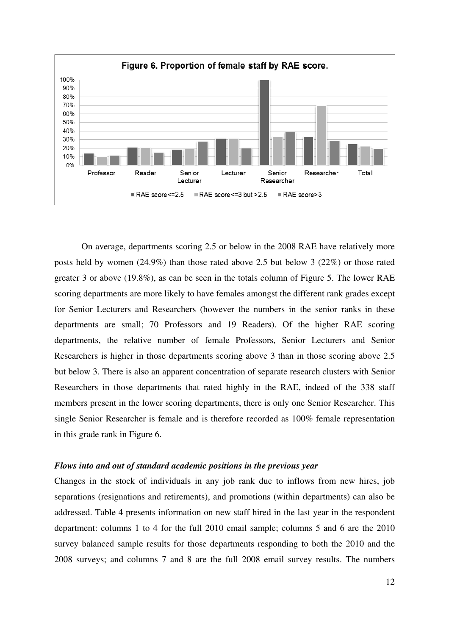

On average, departments scoring 2.5 or below in the 2008 RAE have relatively more posts held by women (24.9%) than those rated above 2.5 but below 3 (22%) or those rated greater 3 or above (19.8%), as can be seen in the totals column of Figure 5. The lower RAE scoring departments are more likely to have females amongst the different rank grades except for Senior Lecturers and Researchers (however the numbers in the senior ranks in these departments are small; 70 Professors and 19 Readers). Of the higher RAE scoring departments, the relative number of female Professors, Senior Lecturers and Senior Researchers is higher in those departments scoring above 3 than in those scoring above 2.5 but below 3. There is also an apparent concentration of separate research clusters with Senior Researchers in those departments that rated highly in the RAE, indeed of the 338 staff members present in the lower scoring departments, there is only one Senior Researcher. This single Senior Researcher is female and is therefore recorded as 100% female representation in this grade rank in Figure 6.

#### *Flows into and out of standard academic positions in the previous year*

Changes in the stock of individuals in any job rank due to inflows from new hires, job separations (resignations and retirements), and promotions (within departments) can also be addressed. Table 4 presents information on new staff hired in the last year in the respondent department: columns 1 to 4 for the full 2010 email sample; columns 5 and 6 are the 2010 survey balanced sample results for those departments responding to both the 2010 and the 2008 surveys; and columns 7 and 8 are the full 2008 email survey results. The numbers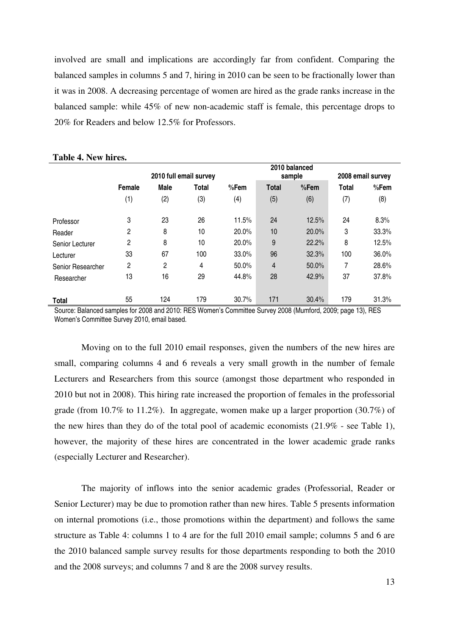involved are small and implications are accordingly far from confident. Comparing the balanced samples in columns 5 and 7, hiring in 2010 can be seen to be fractionally lower than it was in 2008. A decreasing percentage of women are hired as the grade ranks increase in the balanced sample: while 45% of new non-academic staff is female, this percentage drops to 20% for Readers and below 12.5% for Professors.

|                   |        |             |                        |       |                | 2010 balanced |                   |       |  |
|-------------------|--------|-------------|------------------------|-------|----------------|---------------|-------------------|-------|--|
|                   |        |             | 2010 full email survey |       |                | sample        | 2008 email survey |       |  |
|                   | Female | <b>Male</b> | <b>Total</b>           | %Fem  | <b>Total</b>   | %Fem          | <b>Total</b>      | %Fem  |  |
|                   | (1)    | (2)         | (3)                    | (4)   | (5)            | (6)           | (7)               | (8)   |  |
| Professor         | 3      | 23          | 26                     | 11.5% | 24             | 12.5%         | 24                | 8.3%  |  |
| Reader            | 2      | 8           | 10                     | 20.0% | 10             | 20.0%         | 3                 | 33.3% |  |
| Senior Lecturer   | 2      | 8           | 10                     | 20.0% | 9              | 22.2%         | 8                 | 12.5% |  |
| Lecturer          | 33     | 67          | 100                    | 33.0% | 96             | 32.3%         | 100               | 36.0% |  |
| Senior Researcher | 2      | 2           | 4                      | 50.0% | $\overline{4}$ | 50.0%         | 7                 | 28.6% |  |
| Researcher        | 13     | 16          | 29                     | 44.8% | 28             | 42.9%         | 37                | 37.8% |  |
| <b>Total</b>      | 55     | 124         | 179                    | 30.7% | 171            | 30.4%         | 179               | 31.3% |  |

#### **Table 4. New hires.**

Source: Balanced samples for 2008 and 2010: RES Women's Committee Survey 2008 (Mumford, 2009; page 13), RES Women's Committee Survey 2010, email based.

Moving on to the full 2010 email responses, given the numbers of the new hires are small, comparing columns 4 and 6 reveals a very small growth in the number of female Lecturers and Researchers from this source (amongst those department who responded in 2010 but not in 2008). This hiring rate increased the proportion of females in the professorial grade (from 10.7% to 11.2%). In aggregate, women make up a larger proportion (30.7%) of the new hires than they do of the total pool of academic economists (21.9% - see Table 1), however, the majority of these hires are concentrated in the lower academic grade ranks (especially Lecturer and Researcher).

The majority of inflows into the senior academic grades (Professorial, Reader or Senior Lecturer) may be due to promotion rather than new hires. Table 5 presents information on internal promotions (i.e., those promotions within the department) and follows the same structure as Table 4: columns 1 to 4 are for the full 2010 email sample; columns 5 and 6 are the 2010 balanced sample survey results for those departments responding to both the 2010 and the 2008 surveys; and columns 7 and 8 are the 2008 survey results.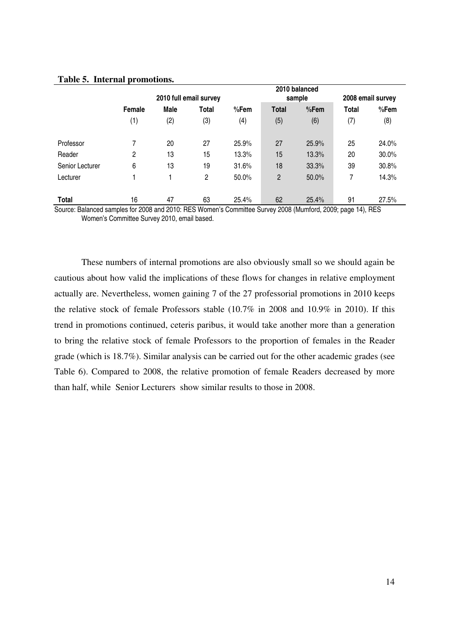| Table 5. Internal promotions. |  |
|-------------------------------|--|
|-------------------------------|--|

|                 |        |      | 2010 full email survey |          |              | 2010 balanced<br>sample | 2008 email survey |       |  |
|-----------------|--------|------|------------------------|----------|--------------|-------------------------|-------------------|-------|--|
|                 | Female | Male | <b>Total</b>           | $%$ Fem  | <b>Total</b> | %Fem                    | Total             | %Fem  |  |
|                 | (1)    | (2)  | (3)                    | (4)      | (5)          | (6)                     | (7)               | (8)   |  |
| Professor       | 7      | 20   | 27                     | 25.9%    | 27           | 25.9%                   | 25                | 24.0% |  |
| Reader          | 2      | 13   | 15                     | 13.3%    | 15           | 13.3%                   | 20                | 30.0% |  |
| Senior Lecturer | 6      | 13   | 19                     | 31.6%    | 18           | 33.3%                   | 39                | 30.8% |  |
| Lecturer        |        |      | 2                      | $50.0\%$ | 2            | 50.0%                   | 7                 | 14.3% |  |
| <b>Total</b>    | 16     | 47   | 63                     | 25.4%    | 62           | 25.4%                   | 91                | 27.5% |  |

Source: Balanced samples for 2008 and 2010: RES Women's Committee Survey 2008 (Mumford, 2009; page 14), RES Women's Committee Survey 2010, email based.

These numbers of internal promotions are also obviously small so we should again be cautious about how valid the implications of these flows for changes in relative employment actually are. Nevertheless, women gaining 7 of the 27 professorial promotions in 2010 keeps the relative stock of female Professors stable (10.7% in 2008 and 10.9% in 2010). If this trend in promotions continued, ceteris paribus, it would take another more than a generation to bring the relative stock of female Professors to the proportion of females in the Reader grade (which is 18.7%). Similar analysis can be carried out for the other academic grades (see Table 6). Compared to 2008, the relative promotion of female Readers decreased by more than half, while Senior Lecturers show similar results to those in 2008.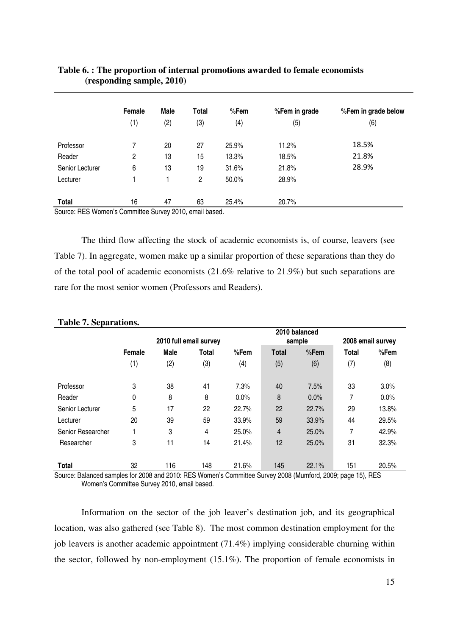|                 | Female       | Male | Total          | $%$ Fem | %Fem in grade | %Fem in grade below |
|-----------------|--------------|------|----------------|---------|---------------|---------------------|
|                 | (1)          | (2)  | (3)            | (4)     | (5)           | (6)                 |
| Professor       | 7            | 20   | 27             | 25.9%   | 11.2%         | 18.5%               |
| Reader          | $\mathbf{2}$ | 13   | 15             | 13.3%   | 18.5%         | 21.8%               |
| Senior Lecturer | 6            | 13   | 19             | 31.6%   | 21.8%         | 28.9%               |
| Lecturer        |              |      | $\overline{2}$ | 50.0%   | 28.9%         |                     |
| <b>Total</b>    | 16           | 47   | 63             | 25.4%   | 20.7%         |                     |

# **Table 6. : The proportion of internal promotions awarded to female economists (responding sample, 2010)**

Source: RES Women's Committee Survey 2010, email based.

The third flow affecting the stock of academic economists is, of course, leavers (see Table 7). In aggregate, women make up a similar proportion of these separations than they do of the total pool of academic economists (21.6% relative to 21.9%) but such separations are rare for the most senior women (Professors and Readers).

|                   |                |     | 2010 full email survey |       |              | 2010 balanced<br>sample | 2008 email survey |       |  |
|-------------------|----------------|-----|------------------------|-------|--------------|-------------------------|-------------------|-------|--|
|                   | Male<br>Female |     | <b>Total</b>           | %Fem  | <b>Total</b> | %Fem                    | <b>Total</b>      | %Fem  |  |
|                   | (1)            | (2) | (3)                    | (4)   | (5)          | (6)                     | (7)               | (8)   |  |
| Professor         | 3              | 38  | 41                     | 7.3%  | 40           | 7.5%                    | 33                | 3.0%  |  |
| Reader            | 0              | 8   | 8                      | 0.0%  | 8            | $0.0\%$                 | 7                 | 0.0%  |  |
| Senior Lecturer   | 5              | 17  | 22                     | 22.7% | 22           | 22.7%                   | 29                | 13.8% |  |
| Lecturer          | 20             | 39  | 59                     | 33.9% | 59           | 33.9%                   | 44                | 29.5% |  |
| Senior Researcher |                | 3   | 4                      | 25.0% | 4            | 25.0%                   | 7                 | 42.9% |  |
| Researcher        | 3              | 11  | 14                     | 21.4% | 12           | 25.0%                   | 31                | 32.3% |  |
| <b>Total</b>      | 32             | 116 | 148                    | 21.6% | 145          | 22.1%                   | 151               | 20.5% |  |

#### **Table 7. Separations.**

Source: Balanced samples for 2008 and 2010: RES Women's Committee Survey 2008 (Mumford, 2009; page 15), RES Women's Committee Survey 2010, email based.

Information on the sector of the job leaver's destination job, and its geographical location, was also gathered (see Table 8). The most common destination employment for the job leavers is another academic appointment (71.4%) implying considerable churning within the sector, followed by non-employment (15.1%). The proportion of female economists in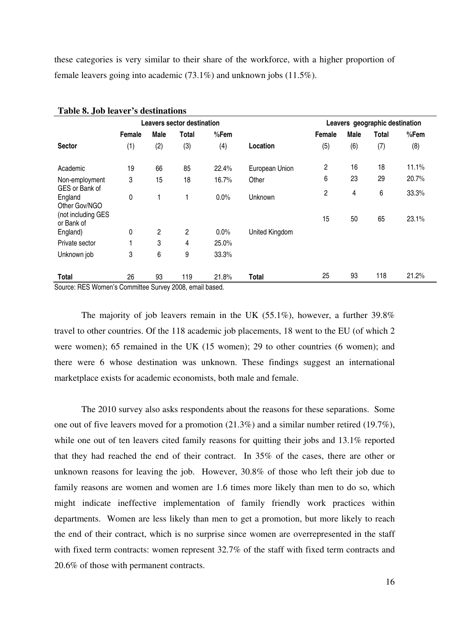these categories is very similar to their share of the workforce, with a higher proportion of female leavers going into academic (73.1%) and unknown jobs (11.5%).

|                                              |        |      | <b>Leavers sector destination</b> |         |                | Leavers geographic destination |      |              |       |  |  |  |
|----------------------------------------------|--------|------|-----------------------------------|---------|----------------|--------------------------------|------|--------------|-------|--|--|--|
|                                              | Female | Male | Total                             | %Fem    |                | Female                         | Male | <b>Total</b> | %Fem  |  |  |  |
| <b>Sector</b>                                | (1)    | (2)  | (3)                               | (4)     | Location       | (5)                            | (6)  | (7)          | (8)   |  |  |  |
| Academic                                     | 19     | 66   | 85                                | 22.4%   | European Union | $\overline{c}$                 | 16   | 18           | 11.1% |  |  |  |
| Non-employment                               | 3      | 15   | 18                                | 16.7%   | Other          | 6                              | 23   | 29           | 20.7% |  |  |  |
| GES or Bank of<br>England<br>Other Gov/NGO   | 0      |      |                                   | 0.0%    | Unknown        | 2                              | 4    | 6            | 33.3% |  |  |  |
| (not including GES<br>or Bank of<br>England) | 0      | 2    | 2                                 | $0.0\%$ | United Kingdom | 15                             | 50   | 65           | 23.1% |  |  |  |
| Private sector                               |        | 3    | 4                                 | 25.0%   |                |                                |      |              |       |  |  |  |
| Unknown job                                  | 3      | 6    | 9                                 | 33.3%   |                |                                |      |              |       |  |  |  |
| Total                                        | 26     | 93   | 119                               | 21.8%   | Total          | 25                             | 93   | 118          | 21.2% |  |  |  |

Source: RES Women's Committee Survey 2008, email based.

The majority of job leavers remain in the UK (55.1%), however, a further 39.8% travel to other countries. Of the 118 academic job placements, 18 went to the EU (of which 2 were women); 65 remained in the UK (15 women); 29 to other countries (6 women); and there were 6 whose destination was unknown. These findings suggest an international marketplace exists for academic economists, both male and female.

 The 2010 survey also asks respondents about the reasons for these separations. Some one out of five leavers moved for a promotion (21.3%) and a similar number retired (19.7%), while one out of ten leavers cited family reasons for quitting their jobs and 13.1% reported that they had reached the end of their contract. In 35% of the cases, there are other or unknown reasons for leaving the job. However, 30.8% of those who left their job due to family reasons are women and women are 1.6 times more likely than men to do so, which might indicate ineffective implementation of family friendly work practices within departments. Women are less likely than men to get a promotion, but more likely to reach the end of their contract, which is no surprise since women are overrepresented in the staff with fixed term contracts: women represent 32.7% of the staff with fixed term contracts and 20.6% of those with permanent contracts.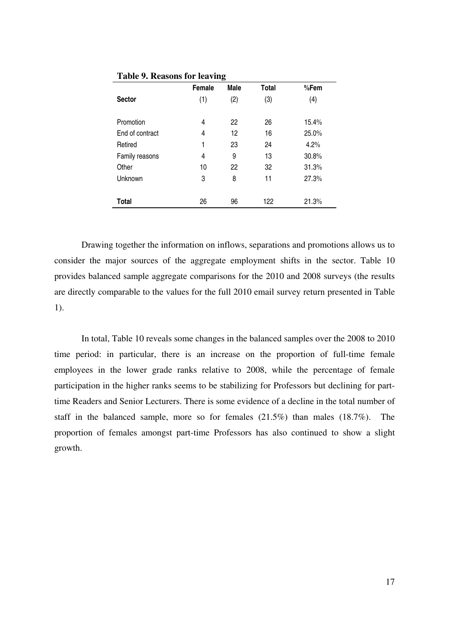|                 | Female | o<br>Male | <b>Total</b> | %Fem  |
|-----------------|--------|-----------|--------------|-------|
| <b>Sector</b>   | (1)    | (2)       | (3)          | (4)   |
|                 |        |           |              |       |
| Promotion       | 4      | 22        | 26           | 15.4% |
| End of contract | 4      | 12        | 16           | 25.0% |
| Retired         | 1      | 23        | 24           | 4.2%  |
| Family reasons  | 4      | 9         | 13           | 30.8% |
| Other           | 10     | 22        | 32           | 31.3% |
| Unknown         | 3      | 8         | 11           | 27.3% |
|                 |        |           |              |       |
| <b>Total</b>    | 26     | 96        | 122          | 21.3% |

**Table 9. Reasons for leaving** 

Drawing together the information on inflows, separations and promotions allows us to consider the major sources of the aggregate employment shifts in the sector. Table 10 provides balanced sample aggregate comparisons for the 2010 and 2008 surveys (the results are directly comparable to the values for the full 2010 email survey return presented in Table 1).

In total, Table 10 reveals some changes in the balanced samples over the 2008 to 2010 time period: in particular, there is an increase on the proportion of full-time female employees in the lower grade ranks relative to 2008, while the percentage of female participation in the higher ranks seems to be stabilizing for Professors but declining for parttime Readers and Senior Lecturers. There is some evidence of a decline in the total number of staff in the balanced sample, more so for females (21.5%) than males (18.7%). The proportion of females amongst part-time Professors has also continued to show a slight growth.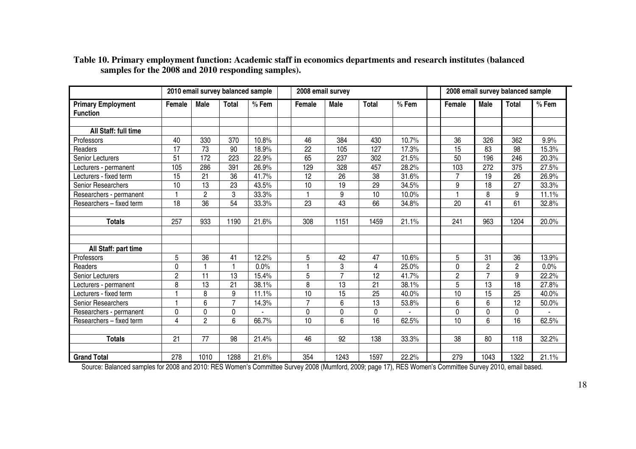|                                              |                 |                 | 2010 email survey balanced sample |         | 2008 email survey |                 |                 |         |  | 2008 email survey balanced sample |                 |                |         |
|----------------------------------------------|-----------------|-----------------|-----------------------------------|---------|-------------------|-----------------|-----------------|---------|--|-----------------------------------|-----------------|----------------|---------|
| <b>Primary Employment</b><br><b>Function</b> | Female          | <b>Male</b>     | <b>Total</b>                      | $%$ Fem | Female            | <b>Male</b>     | <b>Total</b>    | $%$ Fem |  | Female                            | <b>Male</b>     | <b>Total</b>   | $%$ Fem |
| All Staff: full time                         |                 |                 |                                   |         |                   |                 |                 |         |  |                                   |                 |                |         |
| Professors                                   | 40              | 330             | 370                               | 10.8%   | 46                | 384             | 430             | 10.7%   |  | 36                                | 326             | 362            | 9.9%    |
| Readers                                      | 17              | 73              | 90                                | 18.9%   | 22                | 105             | 127             | 17.3%   |  | 15                                | 83              | 98             | 15.3%   |
| <b>Senior Lecturers</b>                      | 51              | 172             | 223                               | 22.9%   | 65                | 237             | 302             | 21.5%   |  | 50                                | 196             | 246            | 20.3%   |
| Lecturers - permanent                        | 105             | 286             | 391                               | 26.9%   | 129               | 328             | 457             | 28.2%   |  | 103                               | 272             | 375            | 27.5%   |
| Lecturers - fixed term                       | $\overline{15}$ | $\overline{21}$ | $\overline{36}$                   | 41.7%   | 12                | $\overline{26}$ | $\overline{38}$ | 31.6%   |  | $\overline{7}$                    | 19              | 26             | 26.9%   |
| Senior Researchers                           | 10              | 13              | $\overline{23}$                   | 43.5%   | 10                | $\overline{19}$ | $\overline{29}$ | 34.5%   |  | 9                                 | 18              | 27             | 33.3%   |
| Researchers - permanent                      |                 | $\overline{c}$  | 3                                 | 33.3%   |                   | 9               | 10              | 10.0%   |  |                                   | 8               | 9              | 11.1%   |
| Researchers - fixed term                     | 18              | $\overline{36}$ | 54                                | 33.3%   | 23                | 43              | 66              | 34.8%   |  | 20                                | $\overline{41}$ | 61             | 32.8%   |
|                                              |                 |                 |                                   |         |                   |                 |                 |         |  |                                   |                 |                |         |
| <b>Totals</b>                                | 257             | 933             | 1190                              | 21.6%   | 308               | 1151            | 1459            | 21.1%   |  | 241                               | 963             | 1204           | 20.0%   |
|                                              |                 |                 |                                   |         |                   |                 |                 |         |  |                                   |                 |                |         |
| All Staff: part time                         |                 |                 |                                   |         |                   |                 |                 |         |  |                                   |                 |                |         |
| Professors                                   | 5               | 36              | 41                                | 12.2%   | 5                 | 42              | 47              | 10.6%   |  | 5                                 | 31              | 36             | 13.9%   |
| Readers                                      | 0               | $\overline{1}$  | 1                                 | 0.0%    |                   | 3               | 4               | 25.0%   |  | 0                                 | $\overline{2}$  | $\overline{2}$ | 0.0%    |
| Senior Lecturers                             | $\overline{2}$  | 11              | 13                                | 15.4%   | 5                 | $\overline{7}$  | 12              | 41.7%   |  | $\overline{c}$                    | $\overline{7}$  | 9              | 22.2%   |
| Lecturers - permanent                        | 8               | 13              | 21                                | 38.1%   | 8                 | 13              | 21              | 38.1%   |  | $\overline{5}$                    | 13              | 18             | 27.8%   |
| Lecturers - fixed term                       |                 | 8               | 9                                 | 11.1%   | 10                | 15              | 25              | 40.0%   |  | 10                                | 15              | 25             | 40.0%   |
| Senior Researchers                           |                 | 6               | $\overline{7}$                    | 14.3%   | $\overline{7}$    | 6               | 13              | 53.8%   |  | 6                                 | 6               | 12             | 50.0%   |
| Researchers - permanent                      | $\mathbf 0$     | 0               | $\mathbf 0$                       |         | $\mathbf 0$       | 0               | 0               |         |  | 0                                 | 0               | 0              |         |
| Researchers - fixed term                     | 4               | $\overline{2}$  | 6                                 | 66.7%   | $\overline{10}$   | 6               | 16              | 62.5%   |  | 10                                | 6               | 16             | 62.5%   |
|                                              |                 |                 |                                   |         |                   |                 |                 |         |  |                                   |                 |                |         |
| <b>Totals</b>                                | 21              | 77              | 98                                | 21.4%   | 46                | 92              | 138             | 33.3%   |  | 38                                | 80              | 118            | 32.2%   |
|                                              |                 |                 |                                   |         |                   |                 |                 |         |  |                                   |                 |                |         |
| <b>Grand Total</b>                           | 278             | 1010            | 1288                              | 21.6%   | 354               | 1243            | 1597            | 22.2%   |  | 279                               | 1043            | 1322           | 21.1%   |

# **Table 10. Primary employment function: Academic staff in economics departments and research institutes (balanced samples for the 2008 and 2010 responding samples).**

Source: Balanced samples for 2008 and 2010: RES Women's Committee Survey 2008 (Mumford, 2009; page 17), RES Women's Committee Survey 2010, email based.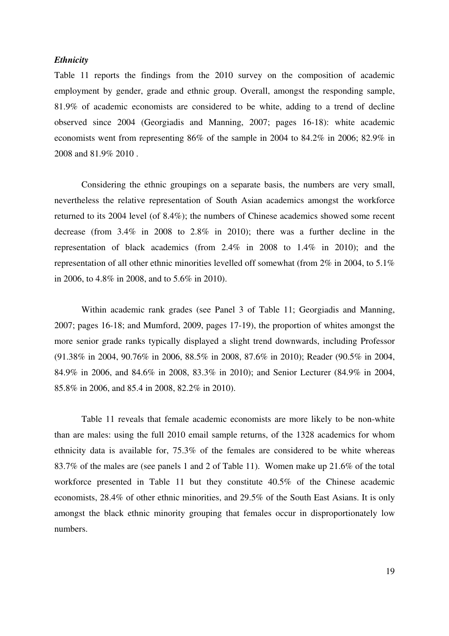#### *Ethnicity*

Table 11 reports the findings from the 2010 survey on the composition of academic employment by gender, grade and ethnic group. Overall, amongst the responding sample, 81.9% of academic economists are considered to be white, adding to a trend of decline observed since 2004 (Georgiadis and Manning, 2007; pages 16-18): white academic economists went from representing 86% of the sample in 2004 to 84.2% in 2006; 82.9% in 2008 and 81.9% 2010 .

Considering the ethnic groupings on a separate basis, the numbers are very small, nevertheless the relative representation of South Asian academics amongst the workforce returned to its 2004 level (of 8.4%); the numbers of Chinese academics showed some recent decrease (from 3.4% in 2008 to 2.8% in 2010); there was a further decline in the representation of black academics (from 2.4% in 2008 to 1.4% in 2010); and the representation of all other ethnic minorities levelled off somewhat (from 2% in 2004, to 5.1% in 2006, to 4.8% in 2008, and to 5.6% in 2010).

Within academic rank grades (see Panel 3 of Table 11; Georgiadis and Manning, 2007; pages 16-18; and Mumford, 2009, pages 17-19), the proportion of whites amongst the more senior grade ranks typically displayed a slight trend downwards, including Professor (91.38% in 2004, 90.76% in 2006, 88.5% in 2008, 87.6% in 2010); Reader (90.5% in 2004, 84.9% in 2006, and 84.6% in 2008, 83.3% in 2010); and Senior Lecturer (84.9% in 2004, 85.8% in 2006, and 85.4 in 2008, 82.2% in 2010).

Table 11 reveals that female academic economists are more likely to be non-white than are males: using the full 2010 email sample returns, of the 1328 academics for whom ethnicity data is available for, 75.3% of the females are considered to be white whereas 83.7% of the males are (see panels 1 and 2 of Table 11). Women make up 21.6% of the total workforce presented in Table 11 but they constitute 40.5% of the Chinese academic economists, 28.4% of other ethnic minorities, and 29.5% of the South East Asians. It is only amongst the black ethnic minority grouping that females occur in disproportionately low numbers.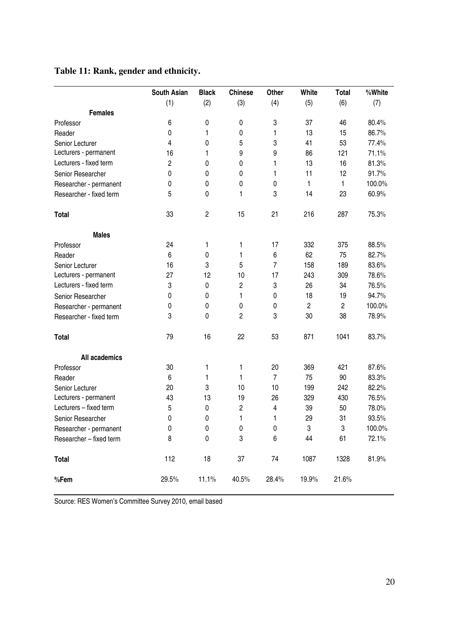# **Table 11: Rank, gender and ethnicity.**

|                         | <b>South Asian</b> | <b>Black</b>   | <b>Chinese</b> | Other          | White          | <b>Total</b>   | %White |
|-------------------------|--------------------|----------------|----------------|----------------|----------------|----------------|--------|
|                         | (1)                | (2)            | (3)            | (4)            | (5)            | (6)            | (7)    |
| <b>Females</b>          |                    |                |                |                |                |                |        |
| Professor               | 6                  | 0              | 0              | 3              | 37             | 46             | 80.4%  |
| Reader                  | 0                  | 1              | 0              | 1              | 13             | 15             | 86.7%  |
| Senior Lecturer         | 4                  | 0              | 5              | 3              | 41             | 53             | 77.4%  |
| Lecturers - permanent   | 16                 | 1              | 9              | 9              | 86             | 121            | 71.1%  |
| Lecturers - fixed term  | $\overline{c}$     | 0              | 0              | 1              | 13             | 16             | 81.3%  |
| Senior Researcher       | 0                  | 0              | 0              | 1              | 11             | 12             | 91.7%  |
| Researcher - permanent  | 0                  | 0              | 0              | 0              | 1              | 1              | 100.0% |
| Researcher - fixed term | 5                  | 0              | 1              | 3              | 14             | 23             | 60.9%  |
| <b>Total</b>            | 33                 | $\overline{c}$ | 15             | 21             | 216            | 287            | 75.3%  |
| <b>Males</b>            |                    |                |                |                |                |                |        |
| Professor               | 24                 | 1              | 1              | 17             | 332            | 375            | 88.5%  |
| Reader                  | 6                  | $\pmb{0}$      | 1              | 6              | 62             | 75             | 82.7%  |
| Senior Lecturer         | 16                 | 3              | 5              | 7              | 158            | 189            | 83.6%  |
| Lecturers - permanent   | 27                 | 12             | 10             | 17             | 243            | 309            | 78.6%  |
| Lecturers - fixed term  | 3                  | 0              | 2              | 3              | 26             | 34             | 76.5%  |
| Senior Researcher       | 0                  | $\pmb{0}$      | 1              | 0              | 18             | 19             | 94.7%  |
| Researcher - permanent  | 0                  | 0              | 0              | 0              | $\overline{c}$ | $\overline{c}$ | 100.0% |
| Researcher - fixed term | 3                  | $\mathbf 0$    | $\overline{c}$ | 3              | 30             | 38             | 78.9%  |
| <b>Total</b>            | 79                 | 16             | 22             | 53             | 871            | 1041           | 83.7%  |
| All academics           |                    |                |                |                |                |                |        |
| Professor               | 30                 | 1              | 1              | 20             | 369            | 421            | 87.6%  |
| Reader                  | 6                  | 1              | 1              | $\overline{7}$ | 75             | 90             | 83.3%  |
| Senior Lecturer         | 20                 | 3              | 10             | 10             | 199            | 242            | 82.2%  |
| Lecturers - permanent   | 43                 | 13             | 19             | 26             | 329            | 430            | 76.5%  |
| Lecturers - fixed term  | 5                  | 0              | 2              | 4              | 39             | 50             | 78.0%  |
| Senior Researcher       | 0                  | 0              | 1              | 1              | 29             | 31             | 93.5%  |
| Researcher - permanent  | 0                  | $\pmb{0}$      | 0              | $\pmb{0}$      | 3              | 3              | 100.0% |
| Researcher - fixed term | 8                  | $\pmb{0}$      | 3              | 6              | 44             | 61             | 72.1%  |
| <b>Total</b>            | 112                | 18             | 37             | 74             | 1087           | 1328           | 81.9%  |
| %Fem                    | 29.5%              | 11.1%          | 40.5%          | 28.4%          | 19.9%          | 21.6%          |        |

Source: RES Women's Committee Survey 2010, email based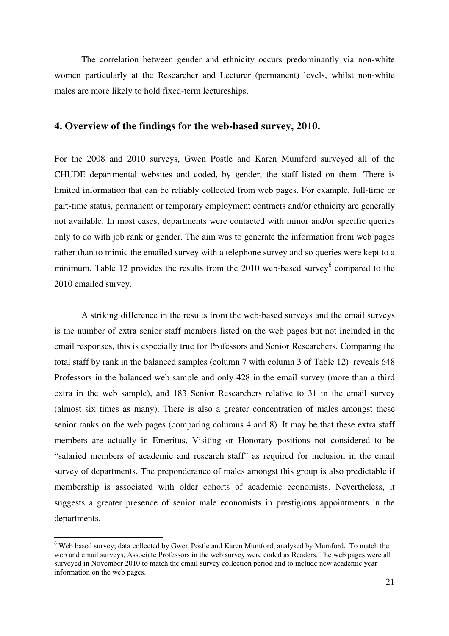The correlation between gender and ethnicity occurs predominantly via non-white women particularly at the Researcher and Lecturer (permanent) levels, whilst non-white males are more likely to hold fixed-term lectureships.

### **4. Overview of the findings for the web-based survey, 2010.**

For the 2008 and 2010 surveys, Gwen Postle and Karen Mumford surveyed all of the CHUDE departmental websites and coded, by gender, the staff listed on them. There is limited information that can be reliably collected from web pages. For example, full-time or part-time status, permanent or temporary employment contracts and/or ethnicity are generally not available. In most cases, departments were contacted with minor and/or specific queries only to do with job rank or gender. The aim was to generate the information from web pages rather than to mimic the emailed survey with a telephone survey and so queries were kept to a minimum. Table 12 provides the results from the  $2010$  web-based survey<sup>6</sup> compared to the 2010 emailed survey.

A striking difference in the results from the web-based surveys and the email surveys is the number of extra senior staff members listed on the web pages but not included in the email responses, this is especially true for Professors and Senior Researchers. Comparing the total staff by rank in the balanced samples (column 7 with column 3 of Table 12) reveals 648 Professors in the balanced web sample and only 428 in the email survey (more than a third extra in the web sample), and 183 Senior Researchers relative to 31 in the email survey (almost six times as many). There is also a greater concentration of males amongst these senior ranks on the web pages (comparing columns 4 and 8). It may be that these extra staff members are actually in Emeritus, Visiting or Honorary positions not considered to be "salaried members of academic and research staff" as required for inclusion in the email survey of departments. The preponderance of males amongst this group is also predictable if membership is associated with older cohorts of academic economists. Nevertheless, it suggests a greater presence of senior male economists in prestigious appointments in the departments.

 $\overline{a}$ 

<sup>&</sup>lt;sup>6</sup> Web based survey; data collected by Gwen Postle and Karen Mumford, analysed by Mumford. To match the web and email surveys, Associate Professors in the web survey were coded as Readers. The web pages were all surveyed in November 2010 to match the email survey collection period and to include new academic year information on the web pages.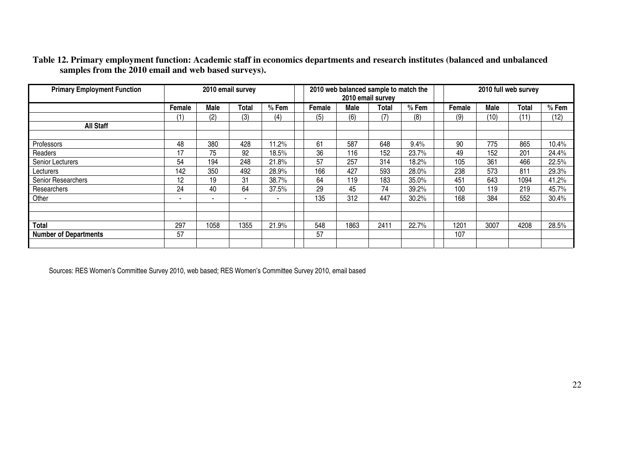| <b>Primary Employment Function</b> | 2010 email survey |      |              |         |        | 2010 email survey | 2010 web balanced sample to match the |         | 2010 full web survey |      |              |         |
|------------------------------------|-------------------|------|--------------|---------|--------|-------------------|---------------------------------------|---------|----------------------|------|--------------|---------|
|                                    | Female            | Male | <b>Total</b> | $%$ Fem | Female | Male              | Total                                 | $%$ Fem | Female               | Male | <b>Total</b> | $%$ Fem |
|                                    | (1)               | (2)  | (3)          | (4)     | (5)    | (6)               | (7)                                   | (8)     | (9)                  | (10) | (11)         | (12)    |
| <b>All Staff</b>                   |                   |      |              |         |        |                   |                                       |         |                      |      |              |         |
|                                    |                   |      |              |         |        |                   |                                       |         |                      |      |              |         |
| Professors                         | 48                | 380  | 428          | 11.2%   | 61     | 587               | 648                                   | 9.4%    | 90                   | 775  | 865          | 10.4%   |
| Readers                            | 17                | 75   | 92           | 18.5%   | 36     | 116               | 152                                   | 23.7%   | 49                   | 152  | 201          | 24.4%   |
| Senior Lecturers                   | 54                | 194  | 248          | 21.8%   | 57     | 257               | 314                                   | 18.2%   | 105                  | 361  | 466          | 22.5%   |
| Lecturers                          | 142               | 350  | 492          | 28.9%   | 166    | 427               | 593                                   | 28.0%   | 238                  | 573  | 811          | 29.3%   |
| Senior Researchers                 | 12                | 19   | 31           | 38.7%   | 64     | 119               | 183                                   | 35.0%   | 451                  | 643  | 1094         | 41.2%   |
| Researchers                        | 24                | 40   | 64           | 37.5%   | 29     | 45                | 74                                    | 39.2%   | 100                  | 119  | 219          | 45.7%   |
| Other                              |                   |      |              | ۰       | 135    | 312               | 447                                   | 30.2%   | 168                  | 384  | 552          | 30.4%   |
|                                    |                   |      |              |         |        |                   |                                       |         |                      |      |              |         |
|                                    |                   |      |              |         |        |                   |                                       |         |                      |      |              |         |
| <b>Total</b>                       | 297               | 1058 | 1355         | 21.9%   | 548    | 1863              | 2411                                  | 22.7%   | 1201                 | 3007 | 4208         | 28.5%   |
| <b>Number of Departments</b>       | 57                |      |              |         | 57     |                   |                                       |         | 107                  |      |              |         |
|                                    |                   |      |              |         |        |                   |                                       |         |                      |      |              |         |

**Table 12. Primary employment function: Academic staff in economics departments and research institutes (balanced and unbalanced samples from the 2010 email and web based surveys).**

Sources: RES Women's Committee Survey 2010, web based; RES Women's Committee Survey 2010, email based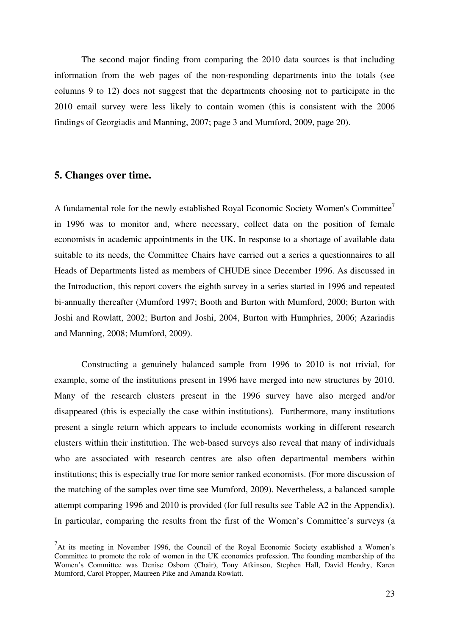The second major finding from comparing the 2010 data sources is that including information from the web pages of the non-responding departments into the totals (see columns 9 to 12) does not suggest that the departments choosing not to participate in the 2010 email survey were less likely to contain women (this is consistent with the 2006 findings of Georgiadis and Manning, 2007; page 3 and Mumford, 2009, page 20).

### **5. Changes over time.**

 $\overline{a}$ 

A fundamental role for the newly established Royal Economic Society Women's Committee<sup>7</sup> in 1996 was to monitor and, where necessary, collect data on the position of female economists in academic appointments in the UK. In response to a shortage of available data suitable to its needs, the Committee Chairs have carried out a series a questionnaires to all Heads of Departments listed as members of CHUDE since December 1996. As discussed in the Introduction, this report covers the eighth survey in a series started in 1996 and repeated bi-annually thereafter (Mumford 1997; Booth and Burton with Mumford, 2000; Burton with Joshi and Rowlatt, 2002; Burton and Joshi, 2004, Burton with Humphries, 2006; Azariadis and Manning, 2008; Mumford, 2009).

Constructing a genuinely balanced sample from 1996 to 2010 is not trivial, for example, some of the institutions present in 1996 have merged into new structures by 2010. Many of the research clusters present in the 1996 survey have also merged and/or disappeared (this is especially the case within institutions). Furthermore, many institutions present a single return which appears to include economists working in different research clusters within their institution. The web-based surveys also reveal that many of individuals who are associated with research centres are also often departmental members within institutions; this is especially true for more senior ranked economists. (For more discussion of the matching of the samples over time see Mumford, 2009). Nevertheless, a balanced sample attempt comparing 1996 and 2010 is provided (for full results see Table A2 in the Appendix). In particular, comparing the results from the first of the Women's Committee's surveys (a

 $<sup>7</sup>$ At its meeting in November 1996, the Council of the Royal Economic Society established a Women's</sup> Committee to promote the role of women in the UK economics profession. The founding membership of the Women's Committee was Denise Osborn (Chair), Tony Atkinson, Stephen Hall, David Hendry, Karen Mumford, Carol Propper, Maureen Pike and Amanda Rowlatt.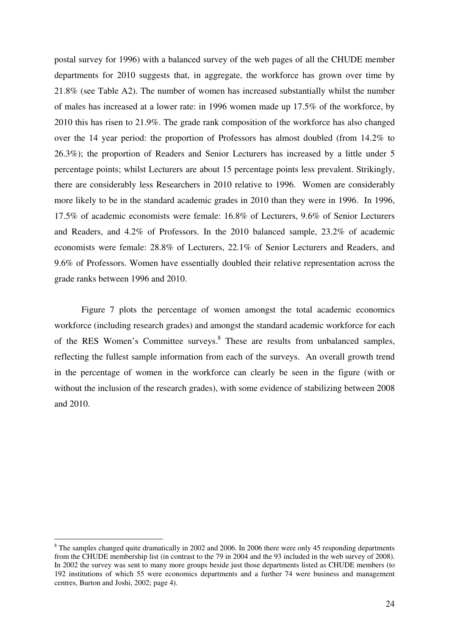postal survey for 1996) with a balanced survey of the web pages of all the CHUDE member departments for 2010 suggests that, in aggregate, the workforce has grown over time by 21.8% (see Table A2). The number of women has increased substantially whilst the number of males has increased at a lower rate: in 1996 women made up 17.5% of the workforce, by 2010 this has risen to 21.9%. The grade rank composition of the workforce has also changed over the 14 year period: the proportion of Professors has almost doubled (from 14.2% to 26.3%); the proportion of Readers and Senior Lecturers has increased by a little under 5 percentage points; whilst Lecturers are about 15 percentage points less prevalent. Strikingly, there are considerably less Researchers in 2010 relative to 1996. Women are considerably more likely to be in the standard academic grades in 2010 than they were in 1996. In 1996, 17.5% of academic economists were female: 16.8% of Lecturers, 9.6% of Senior Lecturers and Readers, and 4.2% of Professors. In the 2010 balanced sample, 23.2% of academic economists were female: 28.8% of Lecturers, 22.1% of Senior Lecturers and Readers, and 9.6% of Professors. Women have essentially doubled their relative representation across the grade ranks between 1996 and 2010.

Figure 7 plots the percentage of women amongst the total academic economics workforce (including research grades) and amongst the standard academic workforce for each of the RES Women's Committee surveys.<sup>8</sup> These are results from unbalanced samples, reflecting the fullest sample information from each of the surveys. An overall growth trend in the percentage of women in the workforce can clearly be seen in the figure (with or without the inclusion of the research grades), with some evidence of stabilizing between 2008 and 2010.

 $\overline{a}$ 

<sup>&</sup>lt;sup>8</sup> The samples changed quite dramatically in 2002 and 2006. In 2006 there were only 45 responding departments from the CHUDE membership list (in contrast to the 79 in 2004 and the 93 included in the web survey of 2008). In 2002 the survey was sent to many more groups beside just those departments listed as CHUDE members (to 192 institutions of which 55 were economics departments and a further 74 were business and management centres, Burton and Joshi, 2002; page 4).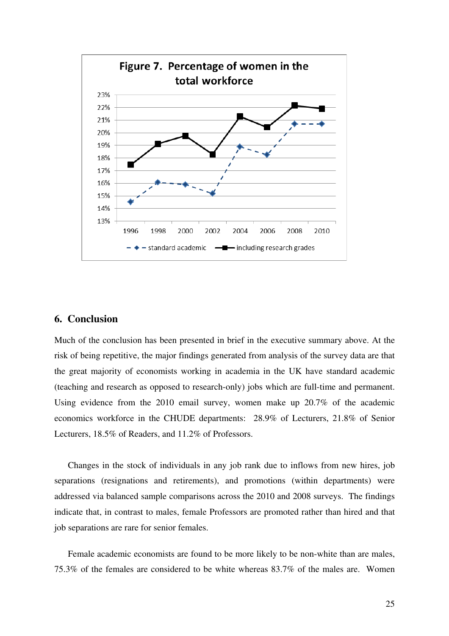

# **6. Conclusion**

Much of the conclusion has been presented in brief in the executive summary above. At the risk of being repetitive, the major findings generated from analysis of the survey data are that the great majority of economists working in academia in the UK have standard academic (teaching and research as opposed to research-only) jobs which are full-time and permanent. Using evidence from the 2010 email survey, women make up 20.7% of the academic economics workforce in the CHUDE departments: 28.9% of Lecturers, 21.8% of Senior Lecturers, 18.5% of Readers, and 11.2% of Professors.

Changes in the stock of individuals in any job rank due to inflows from new hires, job separations (resignations and retirements), and promotions (within departments) were addressed via balanced sample comparisons across the 2010 and 2008 surveys. The findings indicate that, in contrast to males, female Professors are promoted rather than hired and that job separations are rare for senior females.

Female academic economists are found to be more likely to be non-white than are males, 75.3% of the females are considered to be white whereas 83.7% of the males are. Women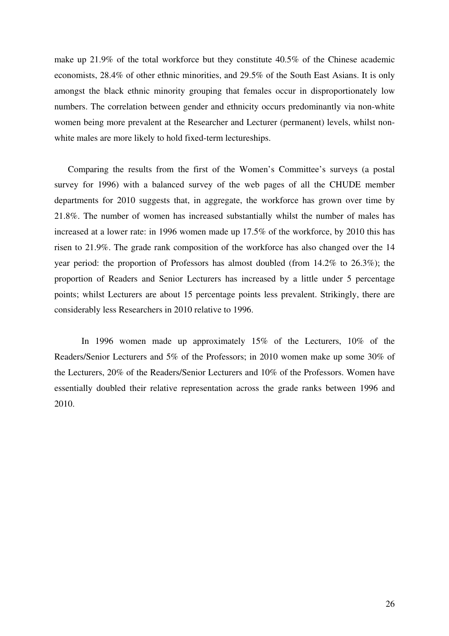make up 21.9% of the total workforce but they constitute 40.5% of the Chinese academic economists, 28.4% of other ethnic minorities, and 29.5% of the South East Asians. It is only amongst the black ethnic minority grouping that females occur in disproportionately low numbers. The correlation between gender and ethnicity occurs predominantly via non-white women being more prevalent at the Researcher and Lecturer (permanent) levels, whilst nonwhite males are more likely to hold fixed-term lectureships.

Comparing the results from the first of the Women's Committee's surveys (a postal survey for 1996) with a balanced survey of the web pages of all the CHUDE member departments for 2010 suggests that, in aggregate, the workforce has grown over time by 21.8%. The number of women has increased substantially whilst the number of males has increased at a lower rate: in 1996 women made up 17.5% of the workforce, by 2010 this has risen to 21.9%. The grade rank composition of the workforce has also changed over the 14 year period: the proportion of Professors has almost doubled (from 14.2% to 26.3%); the proportion of Readers and Senior Lecturers has increased by a little under 5 percentage points; whilst Lecturers are about 15 percentage points less prevalent. Strikingly, there are considerably less Researchers in 2010 relative to 1996.

In 1996 women made up approximately 15% of the Lecturers, 10% of the Readers/Senior Lecturers and 5% of the Professors; in 2010 women make up some 30% of the Lecturers, 20% of the Readers/Senior Lecturers and 10% of the Professors. Women have essentially doubled their relative representation across the grade ranks between 1996 and 2010.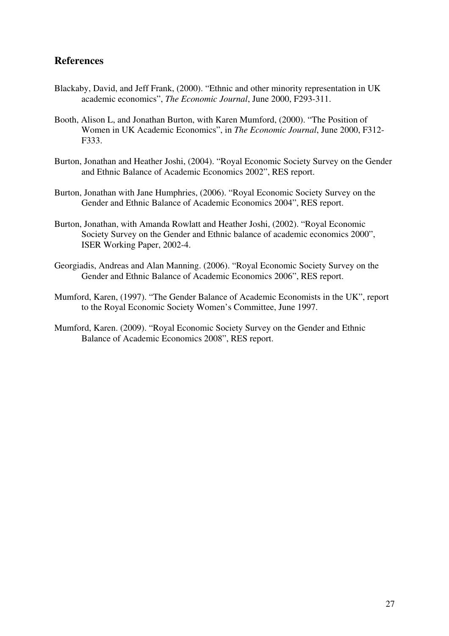# **References**

- Blackaby, David, and Jeff Frank, (2000). "Ethnic and other minority representation in UK academic economics", *The Economic Journal*, June 2000, F293-311.
- Booth, Alison L, and Jonathan Burton, with Karen Mumford, (2000). "The Position of Women in UK Academic Economics", in *The Economic Journal*, June 2000, F312- F333.
- Burton, Jonathan and Heather Joshi, (2004). "Royal Economic Society Survey on the Gender and Ethnic Balance of Academic Economics 2002", RES report.
- Burton, Jonathan with Jane Humphries, (2006). "Royal Economic Society Survey on the Gender and Ethnic Balance of Academic Economics 2004", RES report.
- Burton, Jonathan, with Amanda Rowlatt and Heather Joshi, (2002). "Royal Economic Society Survey on the Gender and Ethnic balance of academic economics 2000", ISER Working Paper, 2002-4.
- Georgiadis, Andreas and Alan Manning. (2006). "Royal Economic Society Survey on the Gender and Ethnic Balance of Academic Economics 2006", RES report.
- Mumford, Karen, (1997). "The Gender Balance of Academic Economists in the UK", report to the Royal Economic Society Women's Committee, June 1997.
- Mumford, Karen. (2009). "Royal Economic Society Survey on the Gender and Ethnic Balance of Academic Economics 2008", RES report.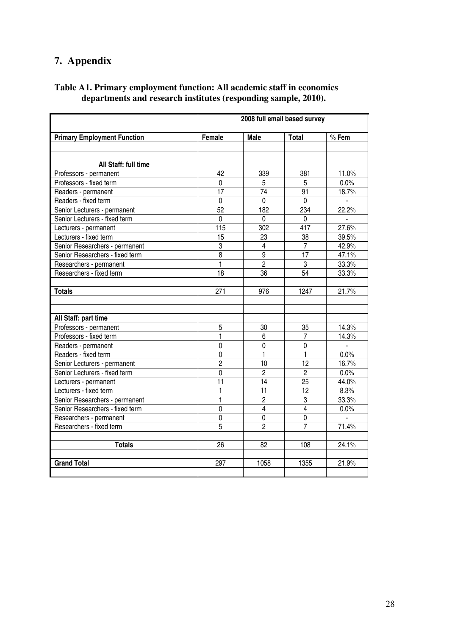# **7. Appendix**

| Table A1. Primary employment function: All academic staff in economics |  |
|------------------------------------------------------------------------|--|
| departments and research institutes (responding sample, 2010).         |  |

|                                    | 2008 full email based survey |                 |                 |         |  |  |  |  |
|------------------------------------|------------------------------|-----------------|-----------------|---------|--|--|--|--|
| <b>Primary Employment Function</b> | Female                       | Male            | <b>Total</b>    | $%$ Fem |  |  |  |  |
|                                    |                              |                 |                 |         |  |  |  |  |
|                                    |                              |                 |                 |         |  |  |  |  |
| All Staff: full time               |                              |                 |                 |         |  |  |  |  |
| Professors - permanent             | 42                           | 339             | 381             | 11.0%   |  |  |  |  |
| Professors - fixed term            | 0                            | 5               | 5               | 0.0%    |  |  |  |  |
| Readers - permanent                | $\overline{17}$              | $\overline{74}$ | 91              | 18.7%   |  |  |  |  |
| Readers - fixed term               | $\overline{0}$               | $\overline{0}$  | $\overline{0}$  |         |  |  |  |  |
| Senior Lecturers - permanent       | $\overline{52}$              | 182             | 234             | 22.2%   |  |  |  |  |
| Senior Lecturers - fixed term      | $\overline{0}$               | $\overline{0}$  | $\mathbf 0$     |         |  |  |  |  |
| Lecturers - permanent              | 115                          | 302             | 417             | 27.6%   |  |  |  |  |
| Lecturers - fixed term             | 15                           | 23              | 38              | 39.5%   |  |  |  |  |
| Senior Researchers - permanent     | 3                            | 4               | 7               | 42.9%   |  |  |  |  |
| Senior Researchers - fixed term    | 8                            | $\overline{9}$  | 17              | 47.1%   |  |  |  |  |
| Researchers - permanent            | $\mathbf{1}$                 | $\overline{2}$  | 3               | 33.3%   |  |  |  |  |
| Researchers - fixed term           | 18                           | 36              | $\overline{54}$ | 33.3%   |  |  |  |  |
|                                    |                              |                 |                 |         |  |  |  |  |
| <b>Totals</b>                      | 271                          | 976             | 1247            | 21.7%   |  |  |  |  |
|                                    |                              |                 |                 |         |  |  |  |  |
|                                    |                              |                 |                 |         |  |  |  |  |
| All Staff: part time               |                              |                 |                 |         |  |  |  |  |
| Professors - permanent             | 5                            | 30              | 35              | 14.3%   |  |  |  |  |
| Professors - fixed term            | 1                            | 6               | 7               | 14.3%   |  |  |  |  |
| Readers - permanent                | $\mathbf 0$                  | 0               | 0               |         |  |  |  |  |
| Readers - fixed term               | $\mathbf 0$                  | 1               | 1               | 0.0%    |  |  |  |  |
| Senior Lecturers - permanent       | $\overline{c}$               | 10              | 12              | 16.7%   |  |  |  |  |
| Senior Lecturers - fixed term      | $\mathbf 0$                  | 2               | $\overline{2}$  | 0.0%    |  |  |  |  |
| Lecturers - permanent              | 11                           | 14              | 25              | 44.0%   |  |  |  |  |
| Lecturers - fixed term             | 1                            | 11              | 12              | 8.3%    |  |  |  |  |
| Senior Researchers - permanent     | 1                            | $\overline{c}$  | 3               | 33.3%   |  |  |  |  |
| Senior Researchers - fixed term    | $\overline{0}$               | $\overline{4}$  | $\overline{4}$  | 0.0%    |  |  |  |  |
| Researchers - permanent            | $\overline{0}$               | $\mathbf 0$     | $\overline{0}$  |         |  |  |  |  |
| Researchers - fixed term           | 5                            | $\overline{2}$  | $\overline{7}$  | 71.4%   |  |  |  |  |
|                                    |                              |                 |                 |         |  |  |  |  |
| <b>Totals</b>                      | 26                           | 82              | 108             | 24.1%   |  |  |  |  |
|                                    |                              |                 |                 |         |  |  |  |  |
| <b>Grand Total</b>                 | 297                          | 1058            | 1355            | 21.9%   |  |  |  |  |
|                                    |                              |                 |                 |         |  |  |  |  |